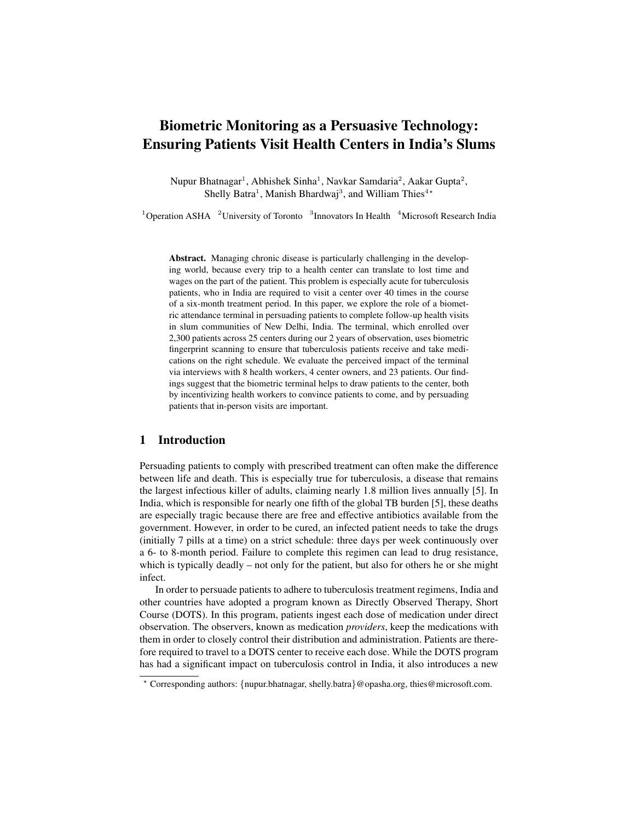# Biometric Monitoring as a Persuasive Technology: Ensuring Patients Visit Health Centers in India's Slums

Nupur Bhatnagar<sup>1</sup>, Abhishek Sinha<sup>1</sup>, Navkar Samdaria<sup>2</sup>, Aakar Gupta<sup>2</sup>, Shelly Batra<sup>1</sup>, Manish Bhardwaj<sup>3</sup>, and William Thies<sup>4\*</sup>

<sup>1</sup>Operation ASHA <sup>2</sup>University of Toronto <sup>3</sup>Innovators In Health <sup>4</sup>Microsoft Research India

Abstract. Managing chronic disease is particularly challenging in the developing world, because every trip to a health center can translate to lost time and wages on the part of the patient. This problem is especially acute for tuberculosis patients, who in India are required to visit a center over 40 times in the course of a six-month treatment period. In this paper, we explore the role of a biometric attendance terminal in persuading patients to complete follow-up health visits in slum communities of New Delhi, India. The terminal, which enrolled over 2,300 patients across 25 centers during our 2 years of observation, uses biometric fingerprint scanning to ensure that tuberculosis patients receive and take medications on the right schedule. We evaluate the perceived impact of the terminal via interviews with 8 health workers, 4 center owners, and 23 patients. Our findings suggest that the biometric terminal helps to draw patients to the center, both by incentivizing health workers to convince patients to come, and by persuading patients that in-person visits are important.

## 1 Introduction

Persuading patients to comply with prescribed treatment can often make the difference between life and death. This is especially true for tuberculosis, a disease that remains the largest infectious killer of adults, claiming nearly 1.8 million lives annually [5]. In India, which is responsible for nearly one fifth of the global TB burden [5], these deaths are especially tragic because there are free and effective antibiotics available from the government. However, in order to be cured, an infected patient needs to take the drugs (initially 7 pills at a time) on a strict schedule: three days per week continuously over a 6- to 8-month period. Failure to complete this regimen can lead to drug resistance, which is typically deadly – not only for the patient, but also for others he or she might infect.

In order to persuade patients to adhere to tuberculosis treatment regimens, India and other countries have adopted a program known as Directly Observed Therapy, Short Course (DOTS). In this program, patients ingest each dose of medication under direct observation. The observers, known as medication *providers*, keep the medications with them in order to closely control their distribution and administration. Patients are therefore required to travel to a DOTS center to receive each dose. While the DOTS program has had a significant impact on tuberculosis control in India, it also introduces a new

<sup>?</sup> Corresponding authors: {nupur.bhatnagar, shelly.batra}@opasha.org, thies@microsoft.com.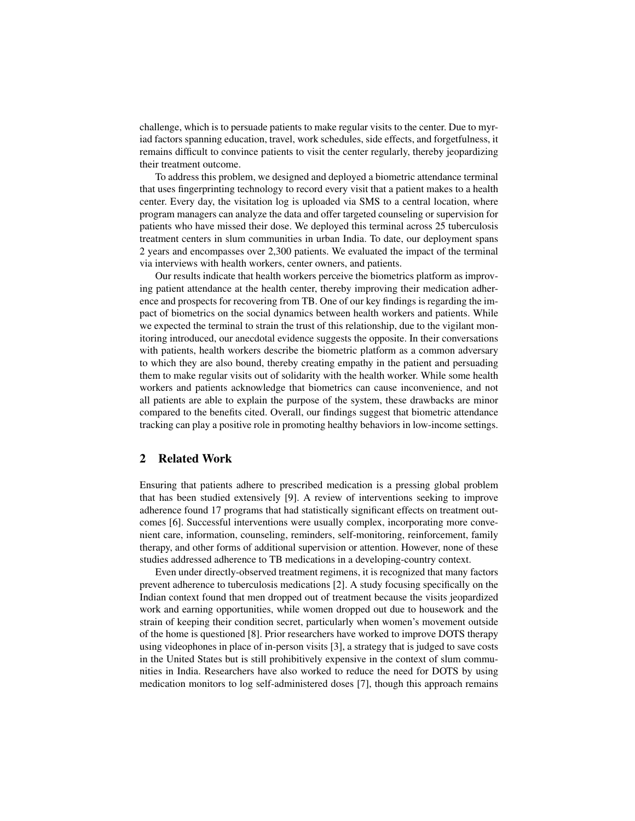challenge, which is to persuade patients to make regular visits to the center. Due to myriad factors spanning education, travel, work schedules, side effects, and forgetfulness, it remains difficult to convince patients to visit the center regularly, thereby jeopardizing their treatment outcome.

To address this problem, we designed and deployed a biometric attendance terminal that uses fingerprinting technology to record every visit that a patient makes to a health center. Every day, the visitation log is uploaded via SMS to a central location, where program managers can analyze the data and offer targeted counseling or supervision for patients who have missed their dose. We deployed this terminal across 25 tuberculosis treatment centers in slum communities in urban India. To date, our deployment spans 2 years and encompasses over 2,300 patients. We evaluated the impact of the terminal via interviews with health workers, center owners, and patients.

Our results indicate that health workers perceive the biometrics platform as improving patient attendance at the health center, thereby improving their medication adherence and prospects for recovering from TB. One of our key findings is regarding the impact of biometrics on the social dynamics between health workers and patients. While we expected the terminal to strain the trust of this relationship, due to the vigilant monitoring introduced, our anecdotal evidence suggests the opposite. In their conversations with patients, health workers describe the biometric platform as a common adversary to which they are also bound, thereby creating empathy in the patient and persuading them to make regular visits out of solidarity with the health worker. While some health workers and patients acknowledge that biometrics can cause inconvenience, and not all patients are able to explain the purpose of the system, these drawbacks are minor compared to the benefits cited. Overall, our findings suggest that biometric attendance tracking can play a positive role in promoting healthy behaviors in low-income settings.

# 2 Related Work

Ensuring that patients adhere to prescribed medication is a pressing global problem that has been studied extensively [9]. A review of interventions seeking to improve adherence found 17 programs that had statistically significant effects on treatment outcomes [6]. Successful interventions were usually complex, incorporating more convenient care, information, counseling, reminders, self-monitoring, reinforcement, family therapy, and other forms of additional supervision or attention. However, none of these studies addressed adherence to TB medications in a developing-country context.

Even under directly-observed treatment regimens, it is recognized that many factors prevent adherence to tuberculosis medications [2]. A study focusing specifically on the Indian context found that men dropped out of treatment because the visits jeopardized work and earning opportunities, while women dropped out due to housework and the strain of keeping their condition secret, particularly when women's movement outside of the home is questioned [8]. Prior researchers have worked to improve DOTS therapy using videophones in place of in-person visits [3], a strategy that is judged to save costs in the United States but is still prohibitively expensive in the context of slum communities in India. Researchers have also worked to reduce the need for DOTS by using medication monitors to log self-administered doses [7], though this approach remains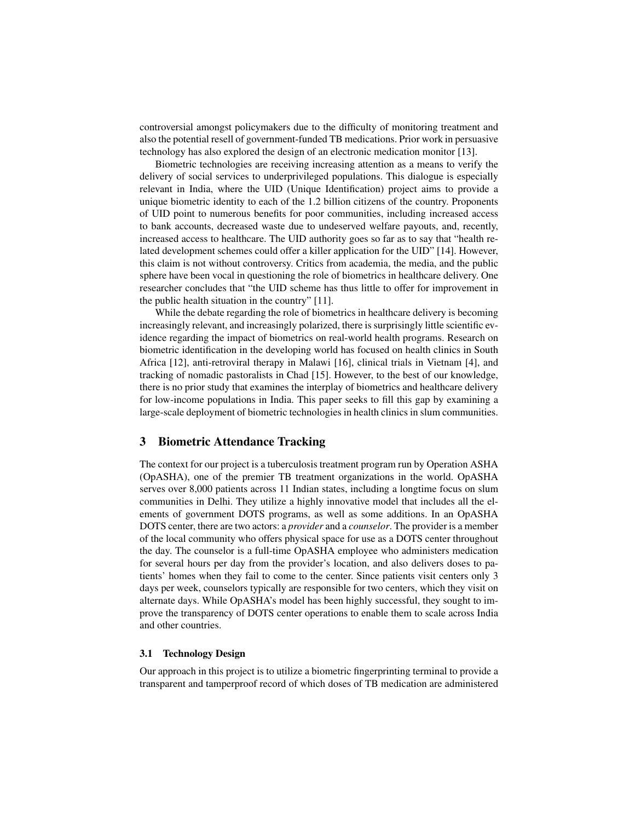controversial amongst policymakers due to the difficulty of monitoring treatment and also the potential resell of government-funded TB medications. Prior work in persuasive technology has also explored the design of an electronic medication monitor [13].

Biometric technologies are receiving increasing attention as a means to verify the delivery of social services to underprivileged populations. This dialogue is especially relevant in India, where the UID (Unique Identification) project aims to provide a unique biometric identity to each of the 1.2 billion citizens of the country. Proponents of UID point to numerous benefits for poor communities, including increased access to bank accounts, decreased waste due to undeserved welfare payouts, and, recently, increased access to healthcare. The UID authority goes so far as to say that "health related development schemes could offer a killer application for the UID" [14]. However, this claim is not without controversy. Critics from academia, the media, and the public sphere have been vocal in questioning the role of biometrics in healthcare delivery. One researcher concludes that "the UID scheme has thus little to offer for improvement in the public health situation in the country" [11].

While the debate regarding the role of biometrics in healthcare delivery is becoming increasingly relevant, and increasingly polarized, there is surprisingly little scientific evidence regarding the impact of biometrics on real-world health programs. Research on biometric identification in the developing world has focused on health clinics in South Africa [12], anti-retroviral therapy in Malawi [16], clinical trials in Vietnam [4], and tracking of nomadic pastoralists in Chad [15]. However, to the best of our knowledge, there is no prior study that examines the interplay of biometrics and healthcare delivery for low-income populations in India. This paper seeks to fill this gap by examining a large-scale deployment of biometric technologies in health clinics in slum communities.

## 3 Biometric Attendance Tracking

The context for our project is a tuberculosis treatment program run by Operation ASHA (OpASHA), one of the premier TB treatment organizations in the world. OpASHA serves over 8,000 patients across 11 Indian states, including a longtime focus on slum communities in Delhi. They utilize a highly innovative model that includes all the elements of government DOTS programs, as well as some additions. In an OpASHA DOTS center, there are two actors: a *provider* and a *counselor*. The provider is a member of the local community who offers physical space for use as a DOTS center throughout the day. The counselor is a full-time OpASHA employee who administers medication for several hours per day from the provider's location, and also delivers doses to patients' homes when they fail to come to the center. Since patients visit centers only 3 days per week, counselors typically are responsible for two centers, which they visit on alternate days. While OpASHA's model has been highly successful, they sought to improve the transparency of DOTS center operations to enable them to scale across India and other countries.

#### 3.1 Technology Design

Our approach in this project is to utilize a biometric fingerprinting terminal to provide a transparent and tamperproof record of which doses of TB medication are administered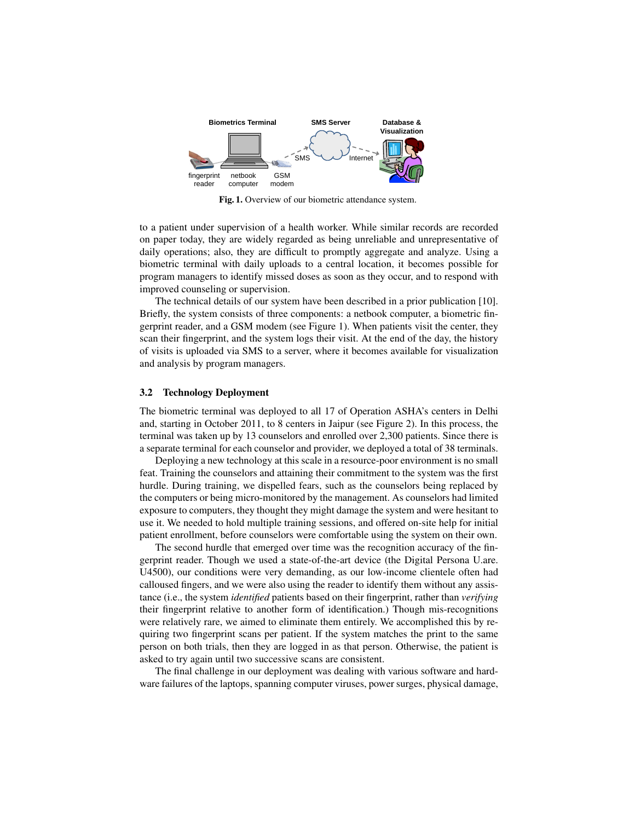

Fig. 1. Overview of our biometric attendance system.

to a patient under supervision of a health worker. While similar records are recorded on paper today, they are widely regarded as being unreliable and unrepresentative of daily operations; also, they are difficult to promptly aggregate and analyze. Using a biometric terminal with daily uploads to a central location, it becomes possible for program managers to identify missed doses as soon as they occur, and to respond with improved counseling or supervision.

The technical details of our system have been described in a prior publication [10]. Briefly, the system consists of three components: a netbook computer, a biometric fingerprint reader, and a GSM modem (see Figure 1). When patients visit the center, they scan their fingerprint, and the system logs their visit. At the end of the day, the history of visits is uploaded via SMS to a server, where it becomes available for visualization and analysis by program managers.

#### 3.2 Technology Deployment

The biometric terminal was deployed to all 17 of Operation ASHA's centers in Delhi and, starting in October 2011, to 8 centers in Jaipur (see Figure 2). In this process, the terminal was taken up by 13 counselors and enrolled over 2,300 patients. Since there is a separate terminal for each counselor and provider, we deployed a total of 38 terminals.

Deploying a new technology at this scale in a resource-poor environment is no small feat. Training the counselors and attaining their commitment to the system was the first hurdle. During training, we dispelled fears, such as the counselors being replaced by the computers or being micro-monitored by the management. As counselors had limited exposure to computers, they thought they might damage the system and were hesitant to use it. We needed to hold multiple training sessions, and offered on-site help for initial patient enrollment, before counselors were comfortable using the system on their own.

The second hurdle that emerged over time was the recognition accuracy of the fingerprint reader. Though we used a state-of-the-art device (the Digital Persona U.are. U4500), our conditions were very demanding, as our low-income clientele often had calloused fingers, and we were also using the reader to identify them without any assistance (i.e., the system *identified* patients based on their fingerprint, rather than *verifying* their fingerprint relative to another form of identification.) Though mis-recognitions were relatively rare, we aimed to eliminate them entirely. We accomplished this by requiring two fingerprint scans per patient. If the system matches the print to the same person on both trials, then they are logged in as that person. Otherwise, the patient is asked to try again until two successive scans are consistent.

The final challenge in our deployment was dealing with various software and hardware failures of the laptops, spanning computer viruses, power surges, physical damage,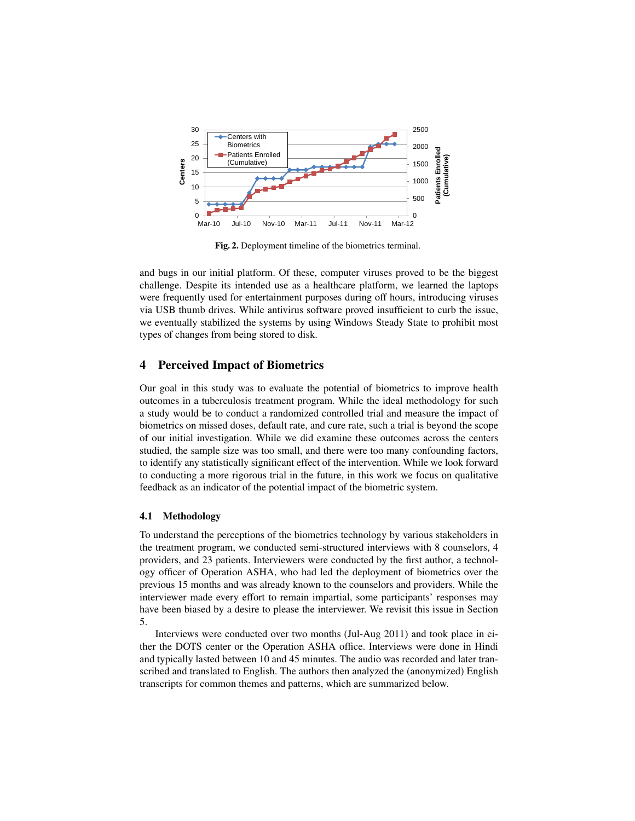

Fig. 2. Deployment timeline of the biometrics terminal.

and bugs in our initial platform. Of these, computer viruses proved to be the biggest challenge. Despite its intended use as a healthcare platform, we learned the laptops were frequently used for entertainment purposes during off hours, introducing viruses via USB thumb drives. While antivirus software proved insufficient to curb the issue, we eventually stabilized the systems by using Windows Steady State to prohibit most types of changes from being stored to disk.

# 4 Perceived Impact of Biometrics

Our goal in this study was to evaluate the potential of biometrics to improve health outcomes in a tuberculosis treatment program. While the ideal methodology for such a study would be to conduct a randomized controlled trial and measure the impact of biometrics on missed doses, default rate, and cure rate, such a trial is beyond the scope of our initial investigation. While we did examine these outcomes across the centers studied, the sample size was too small, and there were too many confounding factors, to identify any statistically significant effect of the intervention. While we look forward to conducting a more rigorous trial in the future, in this work we focus on qualitative feedback as an indicator of the potential impact of the biometric system.

## 4.1 Methodology

To understand the perceptions of the biometrics technology by various stakeholders in the treatment program, we conducted semi-structured interviews with 8 counselors, 4 providers, and 23 patients. Interviewers were conducted by the first author, a technology officer of Operation ASHA, who had led the deployment of biometrics over the previous 15 months and was already known to the counselors and providers. While the interviewer made every effort to remain impartial, some participants' responses may have been biased by a desire to please the interviewer. We revisit this issue in Section 5.

Interviews were conducted over two months (Jul-Aug 2011) and took place in either the DOTS center or the Operation ASHA office. Interviews were done in Hindi and typically lasted between 10 and 45 minutes. The audio was recorded and later transcribed and translated to English. The authors then analyzed the (anonymized) English transcripts for common themes and patterns, which are summarized below.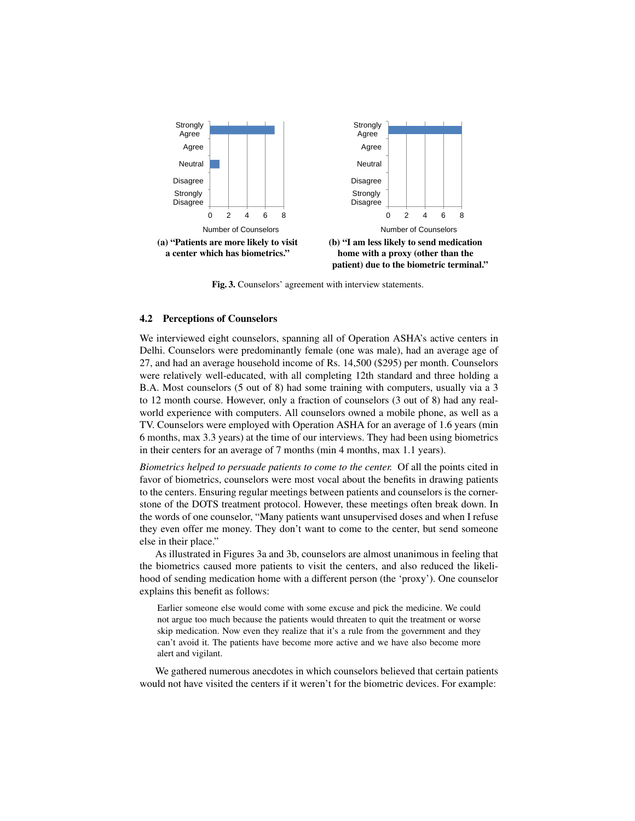

Fig. 3. Counselors' agreement with interview statements.

#### 4.2 Perceptions of Counselors

We interviewed eight counselors, spanning all of Operation ASHA's active centers in Delhi. Counselors were predominantly female (one was male), had an average age of 27, and had an average household income of Rs. 14,500 (\$295) per month. Counselors were relatively well-educated, with all completing 12th standard and three holding a B.A. Most counselors (5 out of 8) had some training with computers, usually via a 3 to 12 month course. However, only a fraction of counselors (3 out of 8) had any realworld experience with computers. All counselors owned a mobile phone, as well as a TV. Counselors were employed with Operation ASHA for an average of 1.6 years (min 6 months, max 3.3 years) at the time of our interviews. They had been using biometrics in their centers for an average of 7 months (min 4 months, max 1.1 years).

*Biometrics helped to persuade patients to come to the center.* Of all the points cited in favor of biometrics, counselors were most vocal about the benefits in drawing patients to the centers. Ensuring regular meetings between patients and counselors is the cornerstone of the DOTS treatment protocol. However, these meetings often break down. In the words of one counselor, "Many patients want unsupervised doses and when I refuse they even offer me money. They don't want to come to the center, but send someone else in their place."

As illustrated in Figures 3a and 3b, counselors are almost unanimous in feeling that the biometrics caused more patients to visit the centers, and also reduced the likelihood of sending medication home with a different person (the 'proxy'). One counselor explains this benefit as follows:

Earlier someone else would come with some excuse and pick the medicine. We could not argue too much because the patients would threaten to quit the treatment or worse skip medication. Now even they realize that it's a rule from the government and they can't avoid it. The patients have become more active and we have also become more alert and vigilant.

We gathered numerous anecdotes in which counselors believed that certain patients would not have visited the centers if it weren't for the biometric devices. For example: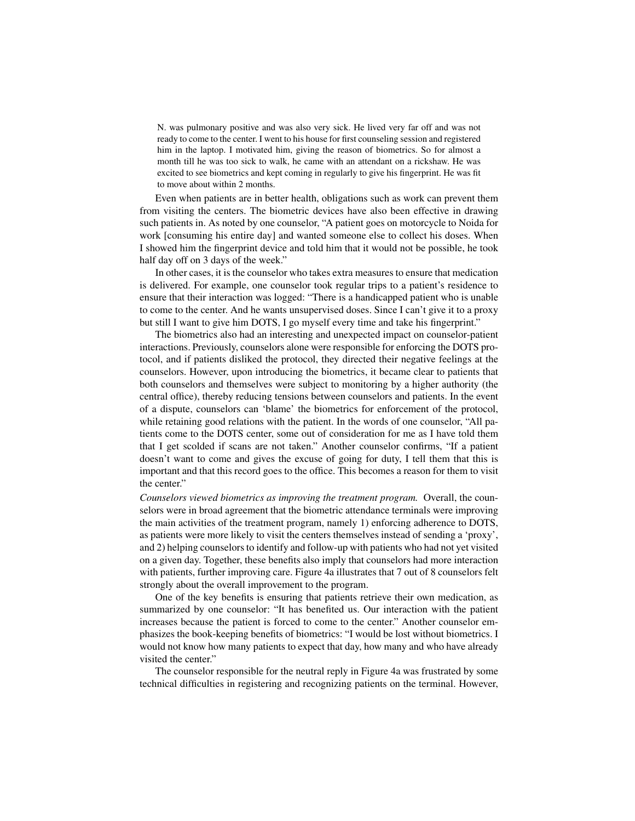N. was pulmonary positive and was also very sick. He lived very far off and was not ready to come to the center. I went to his house for first counseling session and registered him in the laptop. I motivated him, giving the reason of biometrics. So for almost a month till he was too sick to walk, he came with an attendant on a rickshaw. He was excited to see biometrics and kept coming in regularly to give his fingerprint. He was fit to move about within 2 months.

Even when patients are in better health, obligations such as work can prevent them from visiting the centers. The biometric devices have also been effective in drawing such patients in. As noted by one counselor, "A patient goes on motorcycle to Noida for work [consuming his entire day] and wanted someone else to collect his doses. When I showed him the fingerprint device and told him that it would not be possible, he took half day off on 3 days of the week."

In other cases, it is the counselor who takes extra measures to ensure that medication is delivered. For example, one counselor took regular trips to a patient's residence to ensure that their interaction was logged: "There is a handicapped patient who is unable to come to the center. And he wants unsupervised doses. Since I can't give it to a proxy but still I want to give him DOTS, I go myself every time and take his fingerprint."

The biometrics also had an interesting and unexpected impact on counselor-patient interactions. Previously, counselors alone were responsible for enforcing the DOTS protocol, and if patients disliked the protocol, they directed their negative feelings at the counselors. However, upon introducing the biometrics, it became clear to patients that both counselors and themselves were subject to monitoring by a higher authority (the central office), thereby reducing tensions between counselors and patients. In the event of a dispute, counselors can 'blame' the biometrics for enforcement of the protocol, while retaining good relations with the patient. In the words of one counselor, "All patients come to the DOTS center, some out of consideration for me as I have told them that I get scolded if scans are not taken." Another counselor confirms, "If a patient doesn't want to come and gives the excuse of going for duty, I tell them that this is important and that this record goes to the office. This becomes a reason for them to visit the center."

*Counselors viewed biometrics as improving the treatment program.* Overall, the counselors were in broad agreement that the biometric attendance terminals were improving the main activities of the treatment program, namely 1) enforcing adherence to DOTS, as patients were more likely to visit the centers themselves instead of sending a 'proxy', and 2) helping counselors to identify and follow-up with patients who had not yet visited on a given day. Together, these benefits also imply that counselors had more interaction with patients, further improving care. Figure 4a illustrates that 7 out of 8 counselors felt strongly about the overall improvement to the program.

One of the key benefits is ensuring that patients retrieve their own medication, as summarized by one counselor: "It has benefited us. Our interaction with the patient increases because the patient is forced to come to the center." Another counselor emphasizes the book-keeping benefits of biometrics: "I would be lost without biometrics. I would not know how many patients to expect that day, how many and who have already visited the center."

The counselor responsible for the neutral reply in Figure 4a was frustrated by some technical difficulties in registering and recognizing patients on the terminal. However,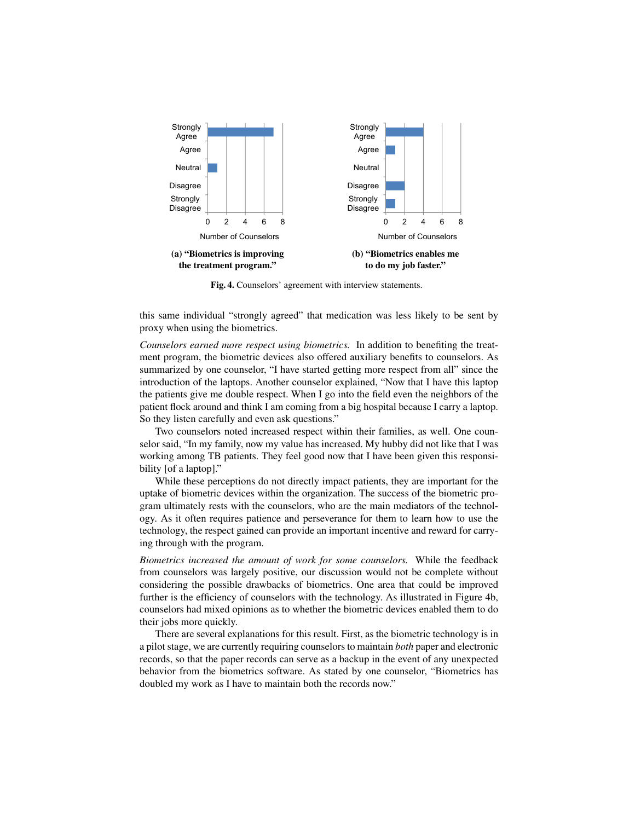

Fig. 4. Counselors' agreement with interview statements.

this same individual "strongly agreed" that medication was less likely to be sent by proxy when using the biometrics.

*Counselors earned more respect using biometrics.* In addition to benefiting the treatment program, the biometric devices also offered auxiliary benefits to counselors. As summarized by one counselor, "I have started getting more respect from all" since the introduction of the laptops. Another counselor explained, "Now that I have this laptop the patients give me double respect. When I go into the field even the neighbors of the patient flock around and think I am coming from a big hospital because I carry a laptop. So they listen carefully and even ask questions."

Two counselors noted increased respect within their families, as well. One counselor said, "In my family, now my value has increased. My hubby did not like that I was working among TB patients. They feel good now that I have been given this responsibility [of a laptop]."

While these perceptions do not directly impact patients, they are important for the uptake of biometric devices within the organization. The success of the biometric program ultimately rests with the counselors, who are the main mediators of the technology. As it often requires patience and perseverance for them to learn how to use the technology, the respect gained can provide an important incentive and reward for carrying through with the program.

*Biometrics increased the amount of work for some counselors.* While the feedback from counselors was largely positive, our discussion would not be complete without considering the possible drawbacks of biometrics. One area that could be improved further is the efficiency of counselors with the technology. As illustrated in Figure 4b, counselors had mixed opinions as to whether the biometric devices enabled them to do their jobs more quickly.

There are several explanations for this result. First, as the biometric technology is in a pilot stage, we are currently requiring counselors to maintain *both* paper and electronic records, so that the paper records can serve as a backup in the event of any unexpected behavior from the biometrics software. As stated by one counselor, "Biometrics has doubled my work as I have to maintain both the records now."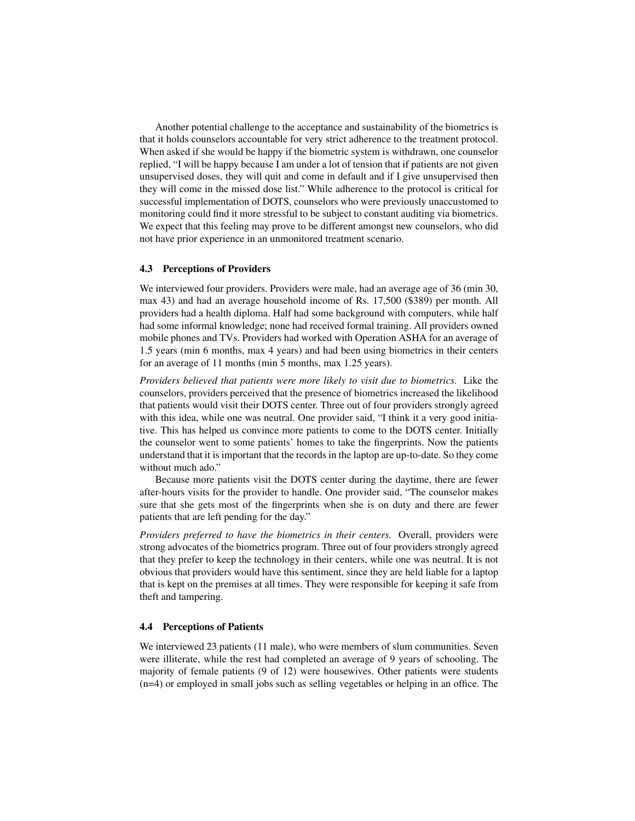Another potential challenge to the acceptance and sustainability of the biometrics is that it holds counselors accountable for very strict adherence to the treatment protocol. When asked if she would be happy if the biometric system is withdrawn, one counselor replied, "I will be happy because I am under a lot of tension that if patients are not given unsupervised doses, they will quit and come in default and if I give unsupervised then they will come in the missed dose list." While adherence to the protocol is critical for successful implementation of DOTS, counselors who were previously unaccustomed to monitoring could find it more stressful to be subject to constant auditing via biometrics. We expect that this feeling may prove to be different amongst new counselors, who did not have prior experience in an unmonitored treatment scenario.

#### 4.3 Perceptions of Providers

We interviewed four providers. Providers were male, had an average age of 36 (min 30, max 43) and had an average household income of Rs. 17,500 (\$389) per month. All providers had a health diploma. Half had some background with computers, while half had some informal knowledge; none had received formal training. All providers owned mobile phones and TVs. Providers had worked with Operation ASHA for an average of 1.5 years (min 6 months, max 4 years) and had been using biometrics in their centers for an average of 11 months (min 5 months, max 1.25 years).

*Providers believed that patients were more likely to visit due to biometrics.* Like the counselors, providers perceived that the presence of biometrics increased the likelihood that patients would visit their DOTS center. Three out of four providers strongly agreed with this idea, while one was neutral. One provider said, "I think it a very good initiative. This has helped us convince more patients to come to the DOTS center. Initially the counselor went to some patients' homes to take the fingerprints. Now the patients understand that it is important that the records in the laptop are up-to-date. So they come without much ado."

Because more patients visit the DOTS center during the daytime, there are fewer after-hours visits for the provider to handle. One provider said, "The counselor makes sure that she gets most of the fingerprints when she is on duty and there are fewer patients that are left pending for the day."

*Providers preferred to have the biometrics in their centers.* Overall, providers were strong advocates of the biometrics program. Three out of four providers strongly agreed that they prefer to keep the technology in their centers, while one was neutral. It is not obvious that providers would have this sentiment, since they are held liable for a laptop that is kept on the premises at all times. They were responsible for keeping it safe from theft and tampering.

#### 4.4 Perceptions of Patients

We interviewed 23 patients (11 male), who were members of slum communities. Seven were illiterate, while the rest had completed an average of 9 years of schooling. The majority of female patients (9 of 12) were housewives. Other patients were students (n=4) or employed in small jobs such as selling vegetables or helping in an office. The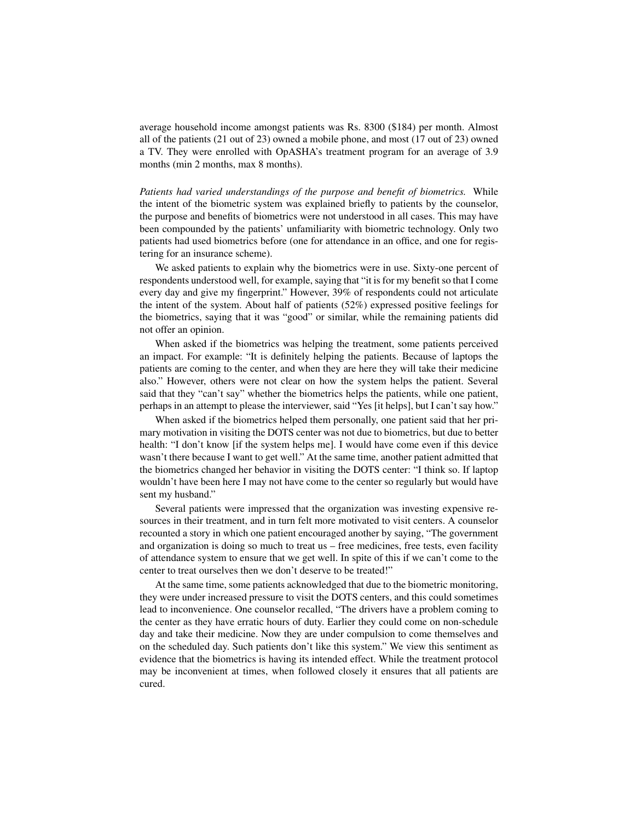average household income amongst patients was Rs. 8300 (\$184) per month. Almost all of the patients (21 out of 23) owned a mobile phone, and most (17 out of 23) owned a TV. They were enrolled with OpASHA's treatment program for an average of 3.9 months (min 2 months, max 8 months).

*Patients had varied understandings of the purpose and benefit of biometrics.* While the intent of the biometric system was explained briefly to patients by the counselor, the purpose and benefits of biometrics were not understood in all cases. This may have been compounded by the patients' unfamiliarity with biometric technology. Only two patients had used biometrics before (one for attendance in an office, and one for registering for an insurance scheme).

We asked patients to explain why the biometrics were in use. Sixty-one percent of respondents understood well, for example, saying that "it is for my benefit so that I come every day and give my fingerprint." However, 39% of respondents could not articulate the intent of the system. About half of patients (52%) expressed positive feelings for the biometrics, saying that it was "good" or similar, while the remaining patients did not offer an opinion.

When asked if the biometrics was helping the treatment, some patients perceived an impact. For example: "It is definitely helping the patients. Because of laptops the patients are coming to the center, and when they are here they will take their medicine also." However, others were not clear on how the system helps the patient. Several said that they "can't say" whether the biometrics helps the patients, while one patient, perhaps in an attempt to please the interviewer, said "Yes [it helps], but I can't say how."

When asked if the biometrics helped them personally, one patient said that her primary motivation in visiting the DOTS center was not due to biometrics, but due to better health: "I don't know [if the system helps me]. I would have come even if this device wasn't there because I want to get well." At the same time, another patient admitted that the biometrics changed her behavior in visiting the DOTS center: "I think so. If laptop wouldn't have been here I may not have come to the center so regularly but would have sent my husband."

Several patients were impressed that the organization was investing expensive resources in their treatment, and in turn felt more motivated to visit centers. A counselor recounted a story in which one patient encouraged another by saying, "The government and organization is doing so much to treat us – free medicines, free tests, even facility of attendance system to ensure that we get well. In spite of this if we can't come to the center to treat ourselves then we don't deserve to be treated!"

At the same time, some patients acknowledged that due to the biometric monitoring, they were under increased pressure to visit the DOTS centers, and this could sometimes lead to inconvenience. One counselor recalled, "The drivers have a problem coming to the center as they have erratic hours of duty. Earlier they could come on non-schedule day and take their medicine. Now they are under compulsion to come themselves and on the scheduled day. Such patients don't like this system." We view this sentiment as evidence that the biometrics is having its intended effect. While the treatment protocol may be inconvenient at times, when followed closely it ensures that all patients are cured.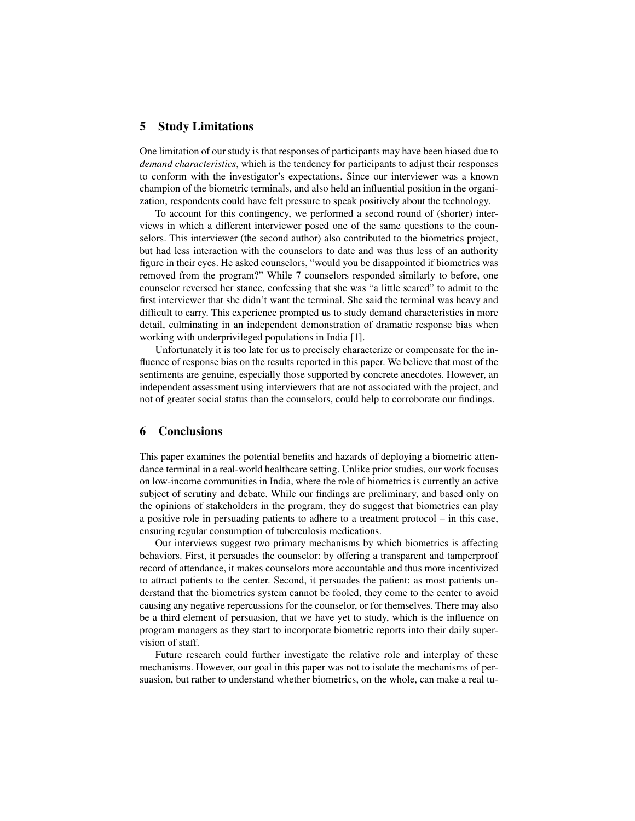## 5 Study Limitations

One limitation of our study is that responses of participants may have been biased due to *demand characteristics*, which is the tendency for participants to adjust their responses to conform with the investigator's expectations. Since our interviewer was a known champion of the biometric terminals, and also held an influential position in the organization, respondents could have felt pressure to speak positively about the technology.

To account for this contingency, we performed a second round of (shorter) interviews in which a different interviewer posed one of the same questions to the counselors. This interviewer (the second author) also contributed to the biometrics project, but had less interaction with the counselors to date and was thus less of an authority figure in their eyes. He asked counselors, "would you be disappointed if biometrics was removed from the program?" While 7 counselors responded similarly to before, one counselor reversed her stance, confessing that she was "a little scared" to admit to the first interviewer that she didn't want the terminal. She said the terminal was heavy and difficult to carry. This experience prompted us to study demand characteristics in more detail, culminating in an independent demonstration of dramatic response bias when working with underprivileged populations in India [1].

Unfortunately it is too late for us to precisely characterize or compensate for the influence of response bias on the results reported in this paper. We believe that most of the sentiments are genuine, especially those supported by concrete anecdotes. However, an independent assessment using interviewers that are not associated with the project, and not of greater social status than the counselors, could help to corroborate our findings.

#### 6 Conclusions

This paper examines the potential benefits and hazards of deploying a biometric attendance terminal in a real-world healthcare setting. Unlike prior studies, our work focuses on low-income communities in India, where the role of biometrics is currently an active subject of scrutiny and debate. While our findings are preliminary, and based only on the opinions of stakeholders in the program, they do suggest that biometrics can play a positive role in persuading patients to adhere to a treatment protocol – in this case, ensuring regular consumption of tuberculosis medications.

Our interviews suggest two primary mechanisms by which biometrics is affecting behaviors. First, it persuades the counselor: by offering a transparent and tamperproof record of attendance, it makes counselors more accountable and thus more incentivized to attract patients to the center. Second, it persuades the patient: as most patients understand that the biometrics system cannot be fooled, they come to the center to avoid causing any negative repercussions for the counselor, or for themselves. There may also be a third element of persuasion, that we have yet to study, which is the influence on program managers as they start to incorporate biometric reports into their daily supervision of staff.

Future research could further investigate the relative role and interplay of these mechanisms. However, our goal in this paper was not to isolate the mechanisms of persuasion, but rather to understand whether biometrics, on the whole, can make a real tu